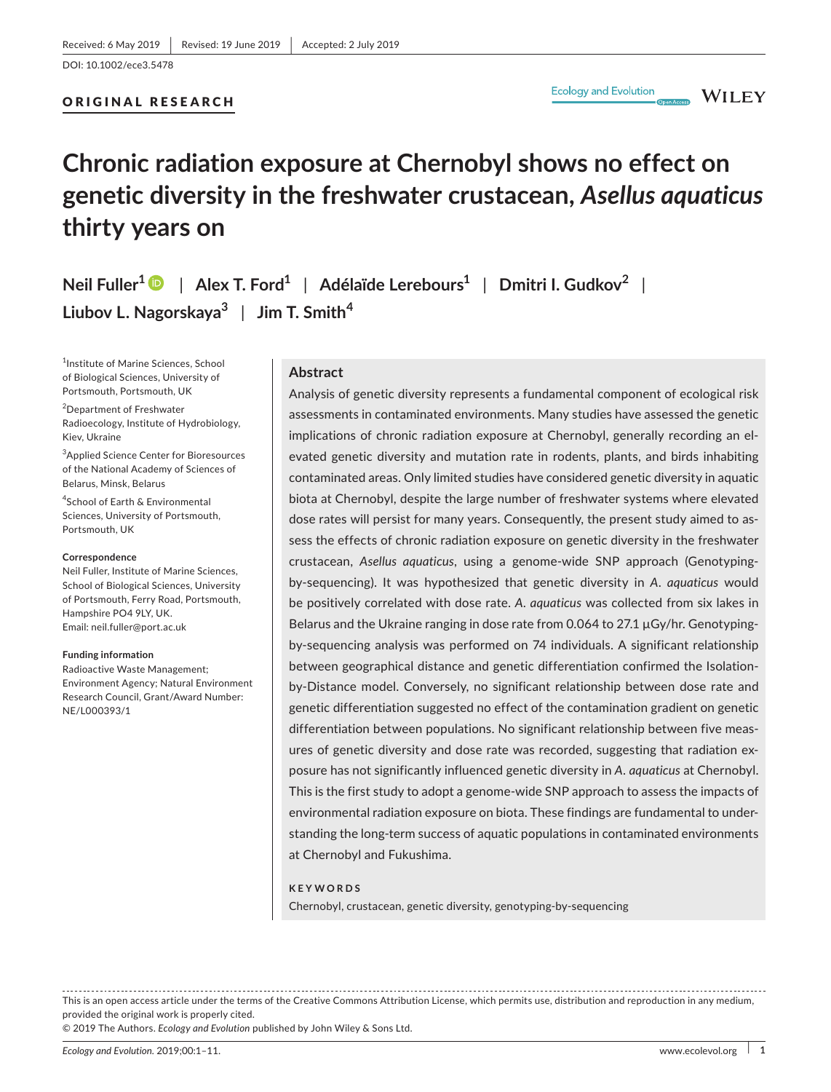DOI: 10.1002/ece3.5478

# ORIGINAL RESEARCH

**Ecology and Evolution** 

**WILEY** 

# **Chronic radiation exposure at Chernobyl shows no effect on genetic diversity in the freshwater crustacean,** *Asellus aquaticus* **thirty years on**

**Neil Fuller[1](https://orcid.org/0000-0001-9486-6654)** | **Alex T. Ford1** | **Adélaïde Lerebours1** | **Dmitri I. Gudkov<sup>2</sup>** | **Liubov L. Nagorskaya3** | **Jim T. Smith<sup>4</sup>**

<sup>1</sup>Institute of Marine Sciences, School of Biological Sciences, University of Portsmouth, Portsmouth, UK

2 Department of Freshwater Radioecology, Institute of Hydrobiology, Kiev, Ukraine

3 Applied Science Center for Bioresources of the National Academy of Sciences of Belarus, Minsk, Belarus

4 School of Earth & Environmental Sciences, University of Portsmouth, Portsmouth, UK

#### **Correspondence**

Neil Fuller, Institute of Marine Sciences, School of Biological Sciences, University of Portsmouth, Ferry Road, Portsmouth, Hampshire PO4 9LY, UK. Email: [neil.fuller@port.ac.uk](mailto:neil.fuller@port.ac.uk)

#### **Funding information**

Radioactive Waste Management; Environment Agency; Natural Environment Research Council, Grant/Award Number: NE/L000393/1

#### **Abstract**

Analysis of genetic diversity represents a fundamental component of ecological risk assessments in contaminated environments. Many studies have assessed the genetic implications of chronic radiation exposure at Chernobyl, generally recording an elevated genetic diversity and mutation rate in rodents, plants, and birds inhabiting contaminated areas. Only limited studies have considered genetic diversity in aquatic biota at Chernobyl, despite the large number of freshwater systems where elevated dose rates will persist for many years. Consequently, the present study aimed to assess the effects of chronic radiation exposure on genetic diversity in the freshwater crustacean, *Asellus aquaticus*, using a genome‐wide SNP approach (Genotyping‐ by‐sequencing). It was hypothesized that genetic diversity in *A. aquaticus* would be positively correlated with dose rate. *A. aquaticus* was collected from six lakes in Belarus and the Ukraine ranging in dose rate from 0.064 to 27.1 µGy/hr. Genotypingby‐sequencing analysis was performed on 74 individuals. A significant relationship between geographical distance and genetic differentiation confirmed the Isolation‐ by‐Distance model. Conversely, no significant relationship between dose rate and genetic differentiation suggested no effect of the contamination gradient on genetic differentiation between populations. No significant relationship between five measures of genetic diversity and dose rate was recorded, suggesting that radiation exposure has not significantly influenced genetic diversity in *A. aquaticus* at Chernobyl. This is the first study to adopt a genome‐wide SNP approach to assess the impacts of environmental radiation exposure on biota. These findings are fundamental to understanding the long-term success of aquatic populations in contaminated environments at Chernobyl and Fukushima.

#### **KEYWORDS**

Chernobyl, crustacean, genetic diversity, genotyping‐by‐sequencing

This is an open access article under the terms of the Creative Commons [Attribution](http://creativecommons.org/licenses/by/4.0/) License, which permits use, distribution and reproduction in any medium, provided the original work is properly cited.

© 2019 The Authors. *Ecology and Evolution* published by John Wiley & Sons Ltd.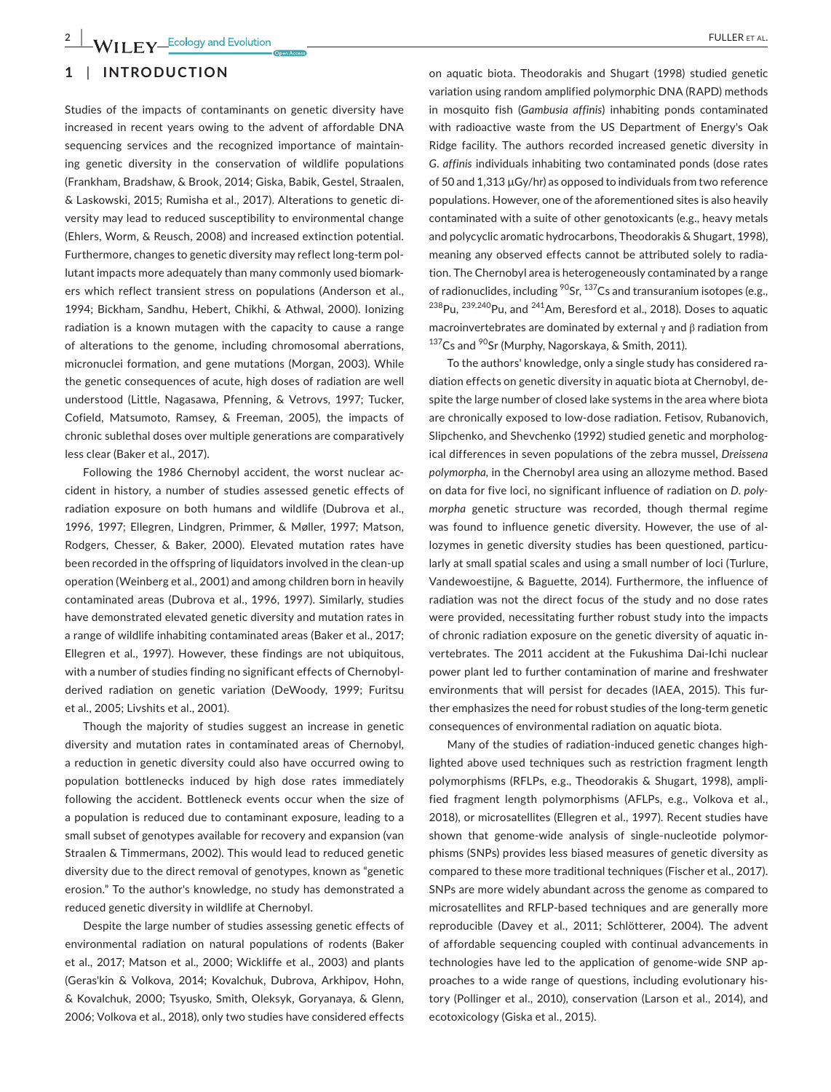# **1** | **INTRODUCTION**

Studies of the impacts of contaminants on genetic diversity have increased in recent years owing to the advent of affordable DNA sequencing services and the recognized importance of maintaining genetic diversity in the conservation of wildlife populations (Frankham, Bradshaw, & Brook, 2014; Giska, Babik, Gestel, Straalen, & Laskowski, 2015; Rumisha et al., 2017). Alterations to genetic diversity may lead to reduced susceptibility to environmental change (Ehlers, Worm, & Reusch, 2008) and increased extinction potential. Furthermore, changes to genetic diversity may reflect long-term pollutant impacts more adequately than many commonly used biomarkers which reflect transient stress on populations (Anderson et al., 1994; Bickham, Sandhu, Hebert, Chikhi, & Athwal, 2000). Ionizing radiation is a known mutagen with the capacity to cause a range of alterations to the genome, including chromosomal aberrations, micronuclei formation, and gene mutations (Morgan, 2003). While the genetic consequences of acute, high doses of radiation are well understood (Little, Nagasawa, Pfenning, & Vetrovs, 1997; Tucker, Cofield, Matsumoto, Ramsey, & Freeman, 2005), the impacts of chronic sublethal doses over multiple generations are comparatively less clear (Baker et al., 2017).

Following the 1986 Chernobyl accident, the worst nuclear accident in history, a number of studies assessed genetic effects of radiation exposure on both humans and wildlife (Dubrova et al., 1996, 1997; Ellegren, Lindgren, Primmer, & Møller, 1997; Matson, Rodgers, Chesser, & Baker, 2000). Elevated mutation rates have been recorded in the offspring of liquidators involved in the clean‐up operation (Weinberg et al., 2001) and among children born in heavily contaminated areas (Dubrova et al., 1996, 1997). Similarly, studies have demonstrated elevated genetic diversity and mutation rates in a range of wildlife inhabiting contaminated areas (Baker et al., 2017; Ellegren et al., 1997). However, these findings are not ubiquitous, with a number of studies finding no significant effects of Chernobyl‐ derived radiation on genetic variation (DeWoody, 1999; Furitsu et al., 2005; Livshits et al., 2001).

Though the majority of studies suggest an increase in genetic diversity and mutation rates in contaminated areas of Chernobyl, a reduction in genetic diversity could also have occurred owing to population bottlenecks induced by high dose rates immediately following the accident. Bottleneck events occur when the size of a population is reduced due to contaminant exposure, leading to a small subset of genotypes available for recovery and expansion (van Straalen & Timmermans, 2002). This would lead to reduced genetic diversity due to the direct removal of genotypes, known as "genetic erosion." To the author's knowledge, no study has demonstrated a reduced genetic diversity in wildlife at Chernobyl.

Despite the large number of studies assessing genetic effects of environmental radiation on natural populations of rodents (Baker et al., 2017; Matson et al., 2000; Wickliffe et al., 2003) and plants (Geras'kin & Volkova, 2014; Kovalchuk, Dubrova, Arkhipov, Hohn, & Kovalchuk, 2000; Tsyusko, Smith, Oleksyk, Goryanaya, & Glenn, 2006; Volkova et al., 2018), only two studies have considered effects

on aquatic biota. Theodorakis and Shugart (1998) studied genetic variation using random amplified polymorphic DNA (RAPD) methods in mosquito fish (*Gambusia affinis*) inhabiting ponds contaminated with radioactive waste from the US Department of Energy's Oak Ridge facility. The authors recorded increased genetic diversity in *G. affinis* individuals inhabiting two contaminated ponds (dose rates of 50 and 1,313 µGy/hr) as opposed to individuals from two reference populations. However, one of the aforementioned sites is also heavily contaminated with a suite of other genotoxicants (e.g., heavy metals and polycyclic aromatic hydrocarbons, Theodorakis & Shugart, 1998), meaning any observed effects cannot be attributed solely to radiation. The Chernobyl area is heterogeneously contaminated by a range of radionuclides, including  ${}^{90}$ Sr,  ${}^{137}$ Cs and transuranium isotopes (e.g.,  $^{238}$ Pu,  $^{239,240}$ Pu, and  $^{241}$ Am, Beresford et al., 2018). Doses to aquatic macroinvertebrates are dominated by external γ and β radiation from 137Cs and <sup>90</sup>Sr (Murphy, Nagorskaya, & Smith, 2011).

To the authors' knowledge, only a single study has considered radiation effects on genetic diversity in aquatic biota at Chernobyl, despite the large number of closed lake systems in the area where biota are chronically exposed to low‐dose radiation. Fetisov, Rubanovich, Slipchenko, and Shevchenko (1992) studied genetic and morphological differences in seven populations of the zebra mussel, *Dreissena polymorpha,* in the Chernobyl area using an allozyme method. Based on data for five loci, no significant influence of radiation on *D. poly‐ morpha* genetic structure was recorded, though thermal regime was found to influence genetic diversity. However, the use of allozymes in genetic diversity studies has been questioned, particularly at small spatial scales and using a small number of loci (Turlure, Vandewoestijne, & Baguette, 2014). Furthermore, the influence of radiation was not the direct focus of the study and no dose rates were provided, necessitating further robust study into the impacts of chronic radiation exposure on the genetic diversity of aquatic invertebrates. The 2011 accident at the Fukushima Dai‐Ichi nuclear power plant led to further contamination of marine and freshwater environments that will persist for decades (IAEA, 2015). This further emphasizes the need for robust studies of the long‐term genetic consequences of environmental radiation on aquatic biota.

Many of the studies of radiation-induced genetic changes highlighted above used techniques such as restriction fragment length polymorphisms (RFLPs, e.g., Theodorakis & Shugart, 1998), amplified fragment length polymorphisms (AFLPs, e.g., Volkova et al., 2018), or microsatellites (Ellegren et al., 1997). Recent studies have shown that genome‐wide analysis of single‐nucleotide polymorphisms (SNPs) provides less biased measures of genetic diversity as compared to these more traditional techniques (Fischer et al., 2017). SNPs are more widely abundant across the genome as compared to microsatellites and RFLP‐based techniques and are generally more reproducible (Davey et al., 2011; Schlötterer, 2004). The advent of affordable sequencing coupled with continual advancements in technologies have led to the application of genome‐wide SNP approaches to a wide range of questions, including evolutionary history (Pollinger et al., 2010), conservation (Larson et al., 2014), and ecotoxicology (Giska et al., 2015).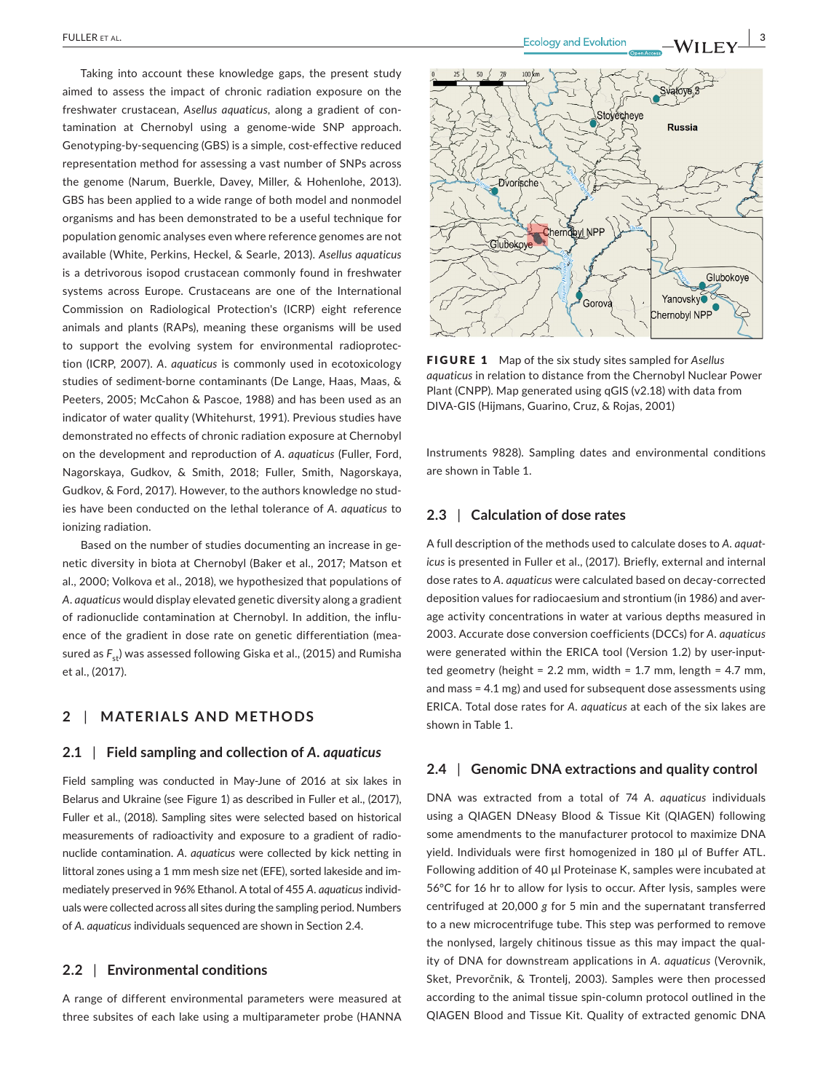Taking into account these knowledge gaps, the present study aimed to assess the impact of chronic radiation exposure on the freshwater crustacean, *Asellus aquaticus*, along a gradient of contamination at Chernobyl using a genome‐wide SNP approach. Genotyping‐by‐sequencing (GBS) is a simple, cost‐effective reduced representation method for assessing a vast number of SNPs across the genome (Narum, Buerkle, Davey, Miller, & Hohenlohe, 2013). GBS has been applied to a wide range of both model and nonmodel organisms and has been demonstrated to be a useful technique for population genomic analyses even where reference genomes are not available (White, Perkins, Heckel, & Searle, 2013). *Asellus aquaticus* is a detrivorous isopod crustacean commonly found in freshwater systems across Europe. Crustaceans are one of the International Commission on Radiological Protection's (ICRP) eight reference animals and plants (RAPs), meaning these organisms will be used to support the evolving system for environmental radioprotection (ICRP, 2007). *A. aquaticus* is commonly used in ecotoxicology studies of sediment‐borne contaminants (De Lange, Haas, Maas, & Peeters, 2005; McCahon & Pascoe, 1988) and has been used as an indicator of water quality (Whitehurst, 1991). Previous studies have demonstrated no effects of chronic radiation exposure at Chernobyl on the development and reproduction of *A. aquaticus* (Fuller, Ford, Nagorskaya, Gudkov, & Smith, 2018; Fuller, Smith, Nagorskaya, Gudkov, & Ford, 2017). However, to the authors knowledge no studies have been conducted on the lethal tolerance of *A. aquaticus* to ionizing radiation.

Based on the number of studies documenting an increase in genetic diversity in biota at Chernobyl (Baker et al., 2017; Matson et al., 2000; Volkova et al., 2018), we hypothesized that populations of *A. aquaticus* would display elevated genetic diversity along a gradient of radionuclide contamination at Chernobyl. In addition, the influence of the gradient in dose rate on genetic differentiation (measured as  $F_{st}$ ) was assessed following Giska et al., (2015) and Rumisha et al., (2017).

# **2** | **MATERIALS AND METHODS**

#### **2.1** | **Field sampling and collection of** *A. aquaticus*

Field sampling was conducted in May-June of 2016 at six lakes in Belarus and Ukraine (see Figure 1) as described in Fuller et al., (2017), Fuller et al., (2018). Sampling sites were selected based on historical measurements of radioactivity and exposure to a gradient of radionuclide contamination. *A. aquaticus* were collected by kick netting in littoral zones using a 1 mm mesh size net (EFE), sorted lakeside and immediately preserved in 96% Ethanol. A total of 455 *A. aquaticus* individuals were collected across all sites during the sampling period. Numbers of *A. aquaticus* individuals sequenced are shown in Section 2.4.

# **2.2** | **Environmental conditions**

A range of different environmental parameters were measured at three subsites of each lake using a multiparameter probe (HANNA



FIGURE 1 Map of the six study sites sampled for *Asellus aquaticus* in relation to distance from the Chernobyl Nuclear Power Plant (CNPP). Map generated using qGIS (v2.18) with data from DIVA‐GIS (Hijmans, Guarino, Cruz, & Rojas, 2001)

Gorova

Yanovsky

Chernobyl NPP

Instruments 9828). Sampling dates and environmental conditions are shown in Table 1.

# **2.3** | **Calculation of dose rates**

A full description of the methods used to calculate doses to *A. aquat‐ icus* is presented in Fuller et al., (2017). Briefly, external and internal dose rates to *A. aquaticus* were calculated based on decay‐corrected deposition values for radiocaesium and strontium (in 1986) and average activity concentrations in water at various depths measured in 2003. Accurate dose conversion coefficients (DCCs) for *A. aquaticus* were generated within the ERICA tool (Version 1.2) by user-inputted geometry (height =  $2.2$  mm, width =  $1.7$  mm, length =  $4.7$  mm, and mass = 4.1 mg) and used for subsequent dose assessments using ERICA. Total dose rates for *A. aquaticus* at each of the six lakes are shown in Table 1.

#### **2.4** | **Genomic DNA extractions and quality control**

DNA was extracted from a total of 74 *A. aquaticus* individuals using a QIAGEN DNeasy Blood & Tissue Kit (QIAGEN) following some amendments to the manufacturer protocol to maximize DNA yield. Individuals were first homogenized in 180 µl of Buffer ATL. Following addition of 40 µl Proteinase K, samples were incubated at 56°C for 16 hr to allow for lysis to occur. After lysis, samples were centrifuged at 20,000 *g* for 5 min and the supernatant transferred to a new microcentrifuge tube. This step was performed to remove the nonlysed, largely chitinous tissue as this may impact the quality of DNA for downstream applications in *A. aquaticus* (Verovnik, Sket, Prevorčnik, & Trontelj, 2003). Samples were then processed according to the animal tissue spin‐column protocol outlined in the QIAGEN Blood and Tissue Kit. Quality of extracted genomic DNA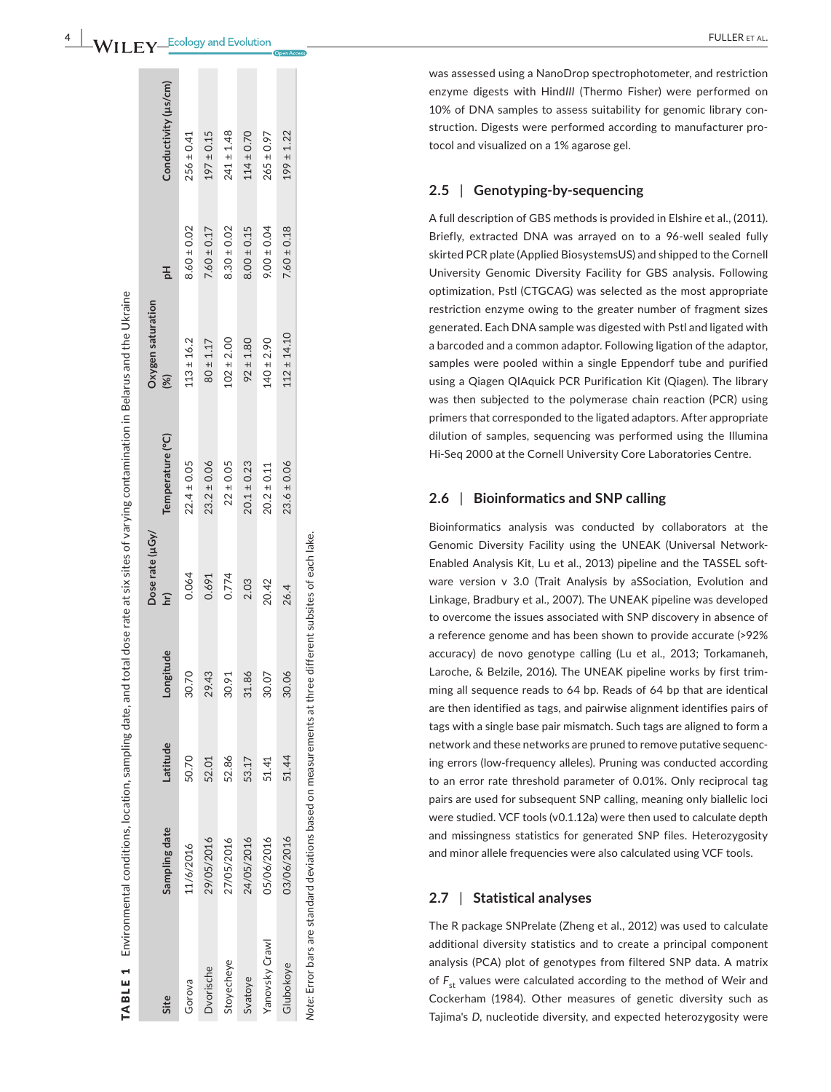#### **4**  -WILFY<sup>\_Ecology and Evolution</sup>

 $197 \pm 0.15$  $241 \pm 1.48$  $114 \pm 0.70$ 

 $7.60 \pm 0.17$ 

 $8.30 \pm 0.02$ 

 $.02 \pm 2.00$  $92 \pm 1.80$  $140 \pm 2.90$ 

 $256 \pm 0.41$ 

 $8.60 \pm 0.02$ 

 $13 + 16.2$  $80 + 1.17$   $199 \pm 1.22$ 

 $7.60 \pm 0.18$ 

 $112 \pm 14.10$ 

 $23.6 \pm 0.06$ 

 $265 \pm 0.97$ 

 $9.00 \pm 0.04$ 

 $8.00 \pm 0.15$ 

was assessed using a NanoDrop spectrophotometer, and restriction enzyme digests with Hind*III* (Thermo Fisher) were performed on 10% of DNA samples to assess suitability for genomic library con struction. Digests were performed according to manufacturer pro tocol and visualized on a 1% agarose gel.

#### **2.5**  | **Genotyping‐by‐sequencing**

A full description of GBS methods is provided in Elshire et al., (2011). Briefly, extracted DNA was arrayed on to a 96‐well sealed fully skirted PCR plate (Applied BiosystemsUS) and shipped to the Cornell University Genomic Diversity Facility for GBS analysis. Following optimization, Pstl (CTGCAG) was selected as the most appropriate restriction enzyme owing to the greater number of fragment sizes generated. Each DNA sample was digested with Pstl and ligated with a barcoded and a common adaptor. Following ligation of the adaptor, samples were pooled within a single Eppendorf tube and purified using a Qiagen QIAquick PCR Purification Kit (Qiagen). The library was then subjected to the polymerase chain reaction (PCR) using primers that corresponded to the ligated adaptors. After appropriate dilution of samples, sequencing was performed using the Illumina Hi-Seq 2000 at the Cornell University Core Laboratories Centre.

#### **2.6**  | **Bioinformatics and SNP calling**

Bioinformatics analysis was conducted by collaborators at the Genomic Diversity Facility using the UNEAK (Universal Network‐ Enabled Analysis Kit, Lu et al., 2013) pipeline and the TASSEL soft ware version v 3.0 (Trait Analysis by aSSociation, Evolution and Linkage, Bradbury et al., 2007). The UNEAK pipeline was developed to overcome the issues associated with SNP discovery in absence of a reference genome and has been shown to provide accurate (>92% accuracy) de novo genotype calling (Lu et al., 2013; Torkamaneh, Laroche, & Belzile, 2016). The UNEAK pipeline works by first trim ming all sequence reads to 64 bp. Reads of 64 bp that are identical are then identified as tags, and pairwise alignment identifies pairs of tags with a single base pair mismatch. Such tags are aligned to form a network and these networks are pruned to remove putative sequenc ing errors (low-frequency alleles). Pruning was conducted according to an error rate threshold parameter of 0.01%. Only reciprocal tag pairs are used for subsequent SNP calling, meaning only biallelic loci were studied. VCF tools (v0.1.12a) were then used to calculate depth and missingness statistics for generated SNP files. Heterozygosity and minor allele frequencies were also calculated using VCF tools.

# **2.7**  | **Statistical analyses**

The R package SNPrelate (Zheng et al., 2012) was used to calculate additional diversity statistics and to create a principal component analysis (PCA) plot of genotypes from filtered SNP data. A matrix of  $F_{\rm st}$  values were calculated according to the method of Weir and Cockerham (1984). Other measures of genetic diversity such as Tajima's *D* , nucleotide diversity, and expected heterozygosity were

|      | $\frac{1}{2}$<br>í<br>ī<br>S<br>l<br>ļ<br>ļ<br>Ş<br><u>י</u> יווי המ<br>ı | 5<br>Ï<br>ļ<br>הממרה ה<br>J<br>١ |      |        | , and total dose rate at six sites of varying contamination in Belarus and the Ukraine |           |   |            |
|------|---------------------------------------------------------------------------|----------------------------------|------|--------|----------------------------------------------------------------------------------------|-----------|---|------------|
|      |                                                                           |                                  |      | e (µGy |                                                                                        | dolpation |   |            |
| Site |                                                                           | atitud                           | irnn | Γm,    | are (°C)                                                                               | (%)       | 공 | ductivity" |

Gorova 11/6/2016 50.70 30.70 0.064 22.4 ± 0.05 113 ± 16.2 8.60 ± 0.02 256 ± 0.41 Dvorische 29/05/2016 52.01 29.43 0.691 23.2 ± 0.06 80 ± 1.17 7.60 ± 0.17 197 ± 0.15 Stoyecheye 27/05/2016 27/05/2016 32.86 32.96 32.96 32.41 22.41 22.41 ± 1.48 22.41 ± 1.48 Svatoye 24/05/2016 24/05/2016 53.17 31.86 91.86 91.80 91.80 92.15 92.1.80 92.1.80 92.114 92.15 92.15 92.15 92.1 Yanovsky Crawl 2004 2014 141 31.41 141 20.07 20.07 20.07 20.07 20.07 20.07 141 141 141 141 141 9.09 9.00 9.00 9.00 9.00 9.00 9.05 ± 0.97 ± 0.97 ± 0.97 ± 0.97 ± 0.97 ± 0.97 ± 0.97 ± 0.97 ± 0.97 ± 0.97 ± 0.97 ± 0.97 ± 0.97 Glubokoye 03/06/2016 51.44 30.06 26.4 23.6 ± 0.06 112 ± 14.10 7.60 ± 0.18 199 ± 1.22

0.064

 $22.4 \pm 0.05$ 

 $23.2 \pm 0.06$ 

 $0.691$ 0.774

29.43

52.01 52.86 53.17 51.41 51.44

30.70

50.70

2.03 20.42 26.4

31.86

30.91

27/05/2016 29/05/2016 11/6/2016

Stoyecheye

Svatoye

Dvorische

Gorova

 $22 \pm 0.05$  $20.1 \pm 0.23$  $20.2 \pm 0.11$ 

> *Note:* Error bars are standard deviations based on measurements at three different subsites of each lake.Note: Error bars are standard deviations based on measurements at three different subsites of each lake.

05/06/2016 24/05/2016

Yanovsky Crawl

Glubokoye

03/06/2016

30.06 30.07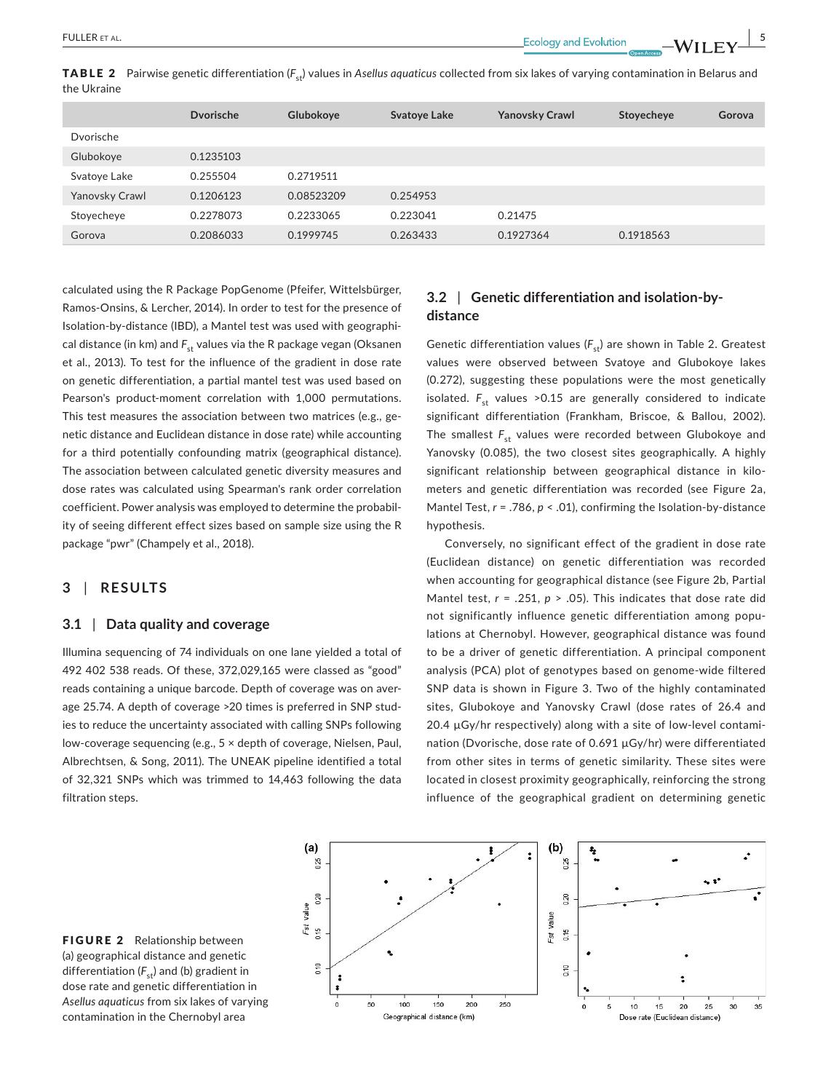|             | <b>TABLE 2</b> Pairwise genetic differentiation (F <sub>et</sub> ) values in Asellus aquaticus collected from six lakes of varying contamination in Belarus and |
|-------------|-----------------------------------------------------------------------------------------------------------------------------------------------------------------|
| the Ukraine |                                                                                                                                                                 |
|             |                                                                                                                                                                 |

|                | <b>D</b> vorische | Glubokoye  | <b>Svatoye Lake</b> | <b>Yanovsky Crawl</b> | Stoyecheye | Gorova |
|----------------|-------------------|------------|---------------------|-----------------------|------------|--------|
| Dvorische      |                   |            |                     |                       |            |        |
| Glubokoye      | 0.1235103         |            |                     |                       |            |        |
| Svatoye Lake   | 0.255504          | 0.2719511  |                     |                       |            |        |
| Yanovsky Crawl | 0.1206123         | 0.08523209 | 0.254953            |                       |            |        |
| Stoyecheye     | 0.2278073         | 0.2233065  | 0.223041            | 0.21475               |            |        |
| Gorova         | 0.2086033         | 0.1999745  | 0.263433            | 0.1927364             | 0.1918563  |        |

calculated using the R Package PopGenome (Pfeifer, Wittelsbürger, Ramos‐Onsins, & Lercher, 2014). In order to test for the presence of Isolation‐by‐distance (IBD), a Mantel test was used with geographical distance (in km) and F<sub>st</sub> values via the R package vegan (Oksanen et al., 2013). To test for the influence of the gradient in dose rate on genetic differentiation, a partial mantel test was used based on Pearson's product-moment correlation with 1,000 permutations. This test measures the association between two matrices (e.g., genetic distance and Euclidean distance in dose rate) while accounting for a third potentially confounding matrix (geographical distance). The association between calculated genetic diversity measures and dose rates was calculated using Spearman's rank order correlation coefficient. Power analysis was employed to determine the probability of seeing different effect sizes based on sample size using the R package "pwr" (Champely et al., 2018).

# **3** | **RESULTS**

## **3.1** | **Data quality and coverage**

Illumina sequencing of 74 individuals on one lane yielded a total of 492 402 538 reads. Of these, 372,029,165 were classed as "good" reads containing a unique barcode. Depth of coverage was on average 25.74. A depth of coverage >20 times is preferred in SNP studies to reduce the uncertainty associated with calling SNPs following low‐coverage sequencing (e.g., 5 × depth of coverage, Nielsen, Paul, Albrechtsen, & Song, 2011). The UNEAK pipeline identified a total of 32,321 SNPs which was trimmed to 14,463 following the data filtration steps.

# **3.2** | **Genetic differentiation and isolation‐by‐ distance**

Genetic differentiation values (F<sub>st</sub>) are shown in Table 2. Greatest values were observed between Svatoye and Glubokoye lakes (0.272), suggesting these populations were the most genetically isolated.  $F_{st}$  values >0.15 are generally considered to indicate significant differentiation (Frankham, Briscoe, & Ballou, 2002). The smallest  $F_{st}$  values were recorded between Glubokoye and Yanovsky (0.085), the two closest sites geographically. A highly significant relationship between geographical distance in kilometers and genetic differentiation was recorded (see Figure 2a, Mantel Test,  $r = .786$ ,  $p < .01$ ), confirming the Isolation-by-distance hypothesis.

Conversely, no significant effect of the gradient in dose rate (Euclidean distance) on genetic differentiation was recorded when accounting for geographical distance (see Figure 2b, Partial Mantel test, *r* = .251, *p* > .05). This indicates that dose rate did not significantly influence genetic differentiation among populations at Chernobyl. However, geographical distance was found to be a driver of genetic differentiation. A principal component analysis (PCA) plot of genotypes based on genome‐wide filtered SNP data is shown in Figure 3. Two of the highly contaminated sites, Glubokoye and Yanovsky Crawl (dose rates of 26.4 and 20.4 µGy/hr respectively) along with a site of low‐level contamination (Dvorische, dose rate of 0.691 µGy/hr) were differentiated from other sites in terms of genetic similarity. These sites were located in closest proximity geographically, reinforcing the strong influence of the geographical gradient on determining genetic



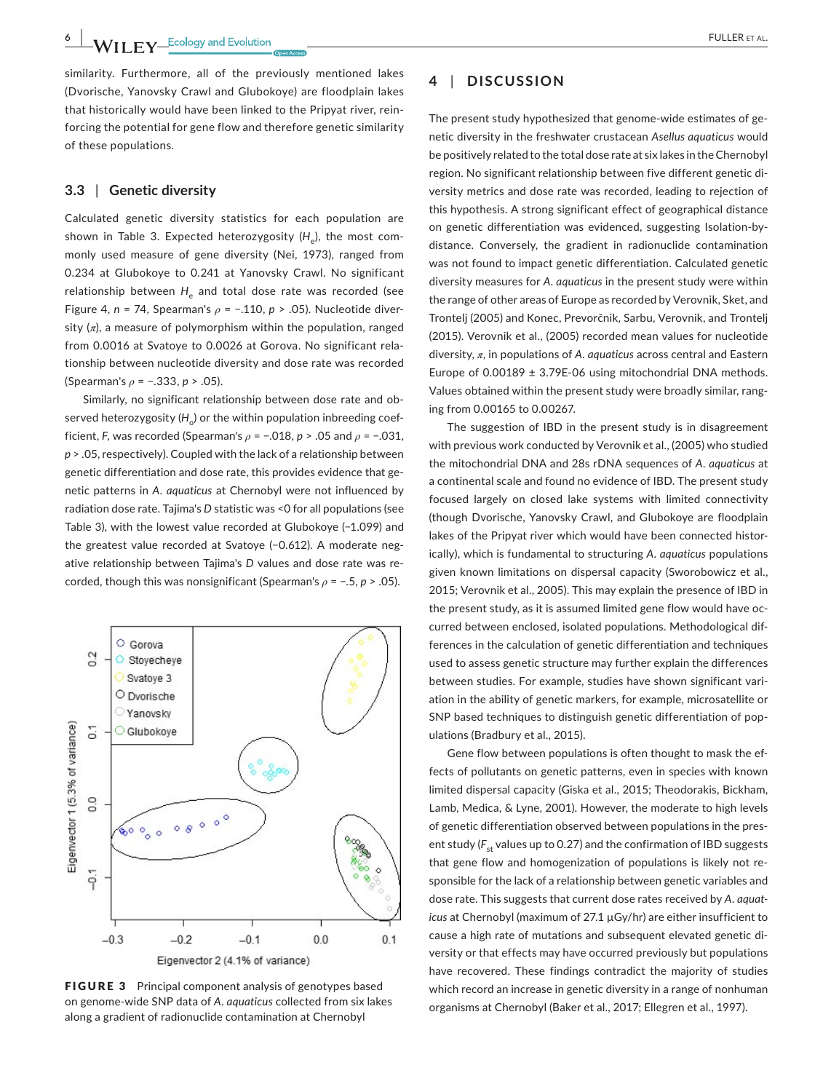similarity. Furthermore, all of the previously mentioned lakes (Dvorische, Yanovsky Crawl and Glubokoye) are floodplain lakes that historically would have been linked to the Pripyat river, reinforcing the potential for gene flow and therefore genetic similarity of these populations.

# **3.3** | **Genetic diversity**

Calculated genetic diversity statistics for each population are shown in Table 3. Expected heterozygosity (*H*<sub>2</sub>), the most commonly used measure of gene diversity (Nei, 1973), ranged from 0.234 at Glubokoye to 0.241 at Yanovsky Crawl. No significant relationship between H<sub>e</sub> and total dose rate was recorded (see Figure 4, *n* = 74, Spearman's *ρ* = −.110, *p* > .05). Nucleotide diversity  $(n)$ , a measure of polymorphism within the population, ranged from 0.0016 at Svatoye to 0.0026 at Gorova. No significant relationship between nucleotide diversity and dose rate was recorded (Spearman's *ρ* = −.333, *p* > .05).

Similarly, no significant relationship between dose rate and observed heterozygosity  $(H_*)$  or the within population inbreeding coefficient, *F*, was recorded (Spearman's *ρ* = −.018, *p* > .05 and *ρ* = −.031, *p* > .05, respectively). Coupled with the lack of a relationship between genetic differentiation and dose rate, this provides evidence that genetic patterns in *A. aquaticus* at Chernobyl were not influenced by radiation dose rate. Tajima's *D* statistic was <0 for all populations (see Table 3), with the lowest value recorded at Glubokoye (−1.099) and the greatest value recorded at Svatoye (−0.612). A moderate negative relationship between Tajima's *D* values and dose rate was recorded, though this was nonsignificant (Spearman's *ρ* = −.5, *p* > .05).



FIGURE 3 Principal component analysis of genotypes based on genome‐wide SNP data of *A. aquaticus* collected from six lakes along a gradient of radionuclide contamination at Chernobyl

# **4** | **DISCUSSION**

The present study hypothesized that genome‐wide estimates of genetic diversity in the freshwater crustacean *Asellus aquaticus* would be positively related to the total dose rate at six lakes in theChernobyl region. No significant relationship between five different genetic diversity metrics and dose rate was recorded, leading to rejection of this hypothesis. A strong significant effect of geographical distance on genetic differentiation was evidenced, suggesting Isolation‐by‐ distance. Conversely, the gradient in radionuclide contamination was not found to impact genetic differentiation. Calculated genetic diversity measures for *A. aquaticus* in the present study were within the range of other areas of Europe as recorded by Verovnik, Sket, and Trontelj (2005) and Konec, Prevorčnik, Sarbu, Verovnik, and Trontelj (2015). Verovnik et al., (2005) recorded mean values for nucleotide diversity, *π*, in populations of *A. aquaticus* across central and Eastern Europe of 0.00189 ± 3.79E‐06 using mitochondrial DNA methods. Values obtained within the present study were broadly similar, ranging from 0.00165 to 0.00267.

The suggestion of IBD in the present study is in disagreement with previous work conducted by Verovnik et al., (2005) who studied the mitochondrial DNA and 28s rDNA sequences of *A. aquaticus* at a continental scale and found no evidence of IBD. The present study focused largely on closed lake systems with limited connectivity (though Dvorische, Yanovsky Crawl, and Glubokoye are floodplain lakes of the Pripyat river which would have been connected historically), which is fundamental to structuring *A. aquaticus* populations given known limitations on dispersal capacity (Sworobowicz et al., 2015; Verovnik et al., 2005). This may explain the presence of IBD in the present study, as it is assumed limited gene flow would have occurred between enclosed, isolated populations. Methodological differences in the calculation of genetic differentiation and techniques used to assess genetic structure may further explain the differences between studies. For example, studies have shown significant variation in the ability of genetic markers, for example, microsatellite or SNP based techniques to distinguish genetic differentiation of populations (Bradbury et al., 2015).

Gene flow between populations is often thought to mask the effects of pollutants on genetic patterns, even in species with known limited dispersal capacity (Giska et al., 2015; Theodorakis, Bickham, Lamb, Medica, & Lyne, 2001). However, the moderate to high levels of genetic differentiation observed between populations in the present study ( $F_{st}$  values up to 0.27) and the confirmation of IBD suggests that gene flow and homogenization of populations is likely not responsible for the lack of a relationship between genetic variables and dose rate. This suggests that current dose rates received by *A. aquat‐ icus* at Chernobyl (maximum of 27.1 µGy/hr) are either insufficient to cause a high rate of mutations and subsequent elevated genetic diversity or that effects may have occurred previously but populations have recovered. These findings contradict the majority of studies which record an increase in genetic diversity in a range of nonhuman organisms at Chernobyl (Baker et al., 2017; Ellegren et al., 1997).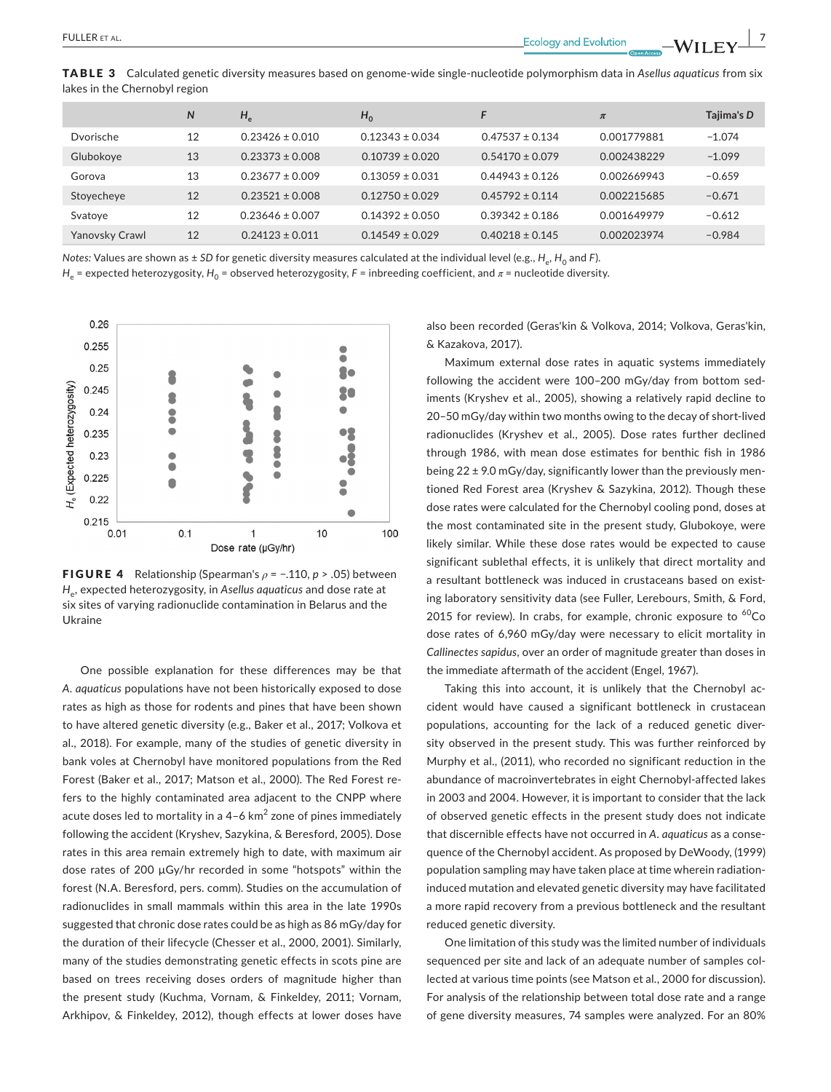TABLE 3 Calculated genetic diversity measures based on genome‐wide single‐nucleotide polymorphism data in *Asellus aquaticus* from six lakes in the Chernobyl region

|                | N  | $H_e$               | $H_0$               | E                   | $\pi$       | Tajima's D |
|----------------|----|---------------------|---------------------|---------------------|-------------|------------|
| Dvorische      | 12 | $0.23426 \pm 0.010$ | $0.12343 \pm 0.034$ | $0.47537 + 0.134$   | 0.001779881 | $-1.074$   |
| Glubokoye      | 13 | $0.23373 \pm 0.008$ | $0.10739 + 0.020$   | $0.54170 + 0.079$   | 0.002438229 | $-1.099$   |
| Gorova         | 13 | $0.23677 + 0.009$   | $0.13059 \pm 0.031$ | $0.44943 + 0.126$   | 0.002669943 | $-0.659$   |
| Stoyecheye     | 12 | $0.23521 + 0.008$   | $0.12750 \pm 0.029$ | $0.45792 + 0.114$   | 0.002215685 | $-0.671$   |
| Svatoye        | 12 | $0.23646 \pm 0.007$ | $0.14392 \pm 0.050$ | $0.39342 \pm 0.186$ | 0.001649979 | $-0.612$   |
| Yanovsky Crawl | 12 | $0.24123 \pm 0.011$ | $0.14549 \pm 0.029$ | $0.40218 \pm 0.145$ | 0.002023974 | $-0.984$   |

*Notes: Values are shown as ± SD for genetic diversity measures calculated at the individual level (e.g., <i>H<sub>e</sub>*, *H<sub>0</sub>* and *F*).

*H<sub>e</sub>* = expected heterozygosity, *H*<sub>0</sub> = observed heterozygosity, *F* = inbreeding coefficient, and  $\pi$  = nucleotide diversity.



FIGURE 4 Relationship (Spearman's *ρ* = −.110, *p* > .05) between *H*e, expected heterozygosity, in *Asellus aquaticus* and dose rate at six sites of varying radionuclide contamination in Belarus and the Ukraine

One possible explanation for these differences may be that *A. aquaticus* populations have not been historically exposed to dose rates as high as those for rodents and pines that have been shown to have altered genetic diversity (e.g., Baker et al., 2017; Volkova et al., 2018). For example, many of the studies of genetic diversity in bank voles at Chernobyl have monitored populations from the Red Forest (Baker et al., 2017; Matson et al., 2000). The Red Forest refers to the highly contaminated area adjacent to the CNPP where acute doses led to mortality in a 4-6  $km^2$  zone of pines immediately following the accident (Kryshev, Sazykina, & Beresford, 2005). Dose rates in this area remain extremely high to date, with maximum air dose rates of 200 µGy/hr recorded in some "hotspots" within the forest (N.A. Beresford, pers. comm). Studies on the accumulation of radionuclides in small mammals within this area in the late 1990s suggested that chronic dose rates could be as high as 86 mGy/day for the duration of their lifecycle (Chesser et al., 2000, 2001). Similarly, many of the studies demonstrating genetic effects in scots pine are based on trees receiving doses orders of magnitude higher than the present study (Kuchma, Vornam, & Finkeldey, 2011; Vornam, Arkhipov, & Finkeldey, 2012), though effects at lower doses have

also been recorded (Geras'kin & Volkova, 2014; Volkova, Geras'kin, & Kazakova, 2017).

Maximum external dose rates in aquatic systems immediately following the accident were 100–200 mGy/day from bottom sediments (Kryshev et al., 2005), showing a relatively rapid decline to 20–50 mGy/day within two months owing to the decay of short‐lived radionuclides (Kryshev et al., 2005). Dose rates further declined through 1986, with mean dose estimates for benthic fish in 1986 being 22 ± 9.0 mGy/day, significantly lower than the previously mentioned Red Forest area (Kryshev & Sazykina, 2012). Though these dose rates were calculated for the Chernobyl cooling pond, doses at the most contaminated site in the present study, Glubokoye, were likely similar. While these dose rates would be expected to cause significant sublethal effects, it is unlikely that direct mortality and a resultant bottleneck was induced in crustaceans based on existing laboratory sensitivity data (see Fuller, Lerebours, Smith, & Ford, 2015 for review). In crabs, for example, chronic exposure to  ${}^{60}Co$ dose rates of 6,960 mGy/day were necessary to elicit mortality in *Callinectes sapidus*, over an order of magnitude greater than doses in the immediate aftermath of the accident (Engel, 1967).

Taking this into account, it is unlikely that the Chernobyl accident would have caused a significant bottleneck in crustacean populations, accounting for the lack of a reduced genetic diversity observed in the present study. This was further reinforced by Murphy et al., (2011), who recorded no significant reduction in the abundance of macroinvertebrates in eight Chernobyl‐affected lakes in 2003 and 2004. However, it is important to consider that the lack of observed genetic effects in the present study does not indicate that discernible effects have not occurred in *A. aquaticus* as a consequence of the Chernobyl accident. As proposed by DeWoody, (1999) population sampling may have taken place at time wherein radiation‐ induced mutation and elevated genetic diversity may have facilitated a more rapid recovery from a previous bottleneck and the resultant reduced genetic diversity.

One limitation of this study was the limited number of individuals sequenced per site and lack of an adequate number of samples collected at various time points (see Matson et al., 2000 for discussion). For analysis of the relationship between total dose rate and a range of gene diversity measures, 74 samples were analyzed. For an 80%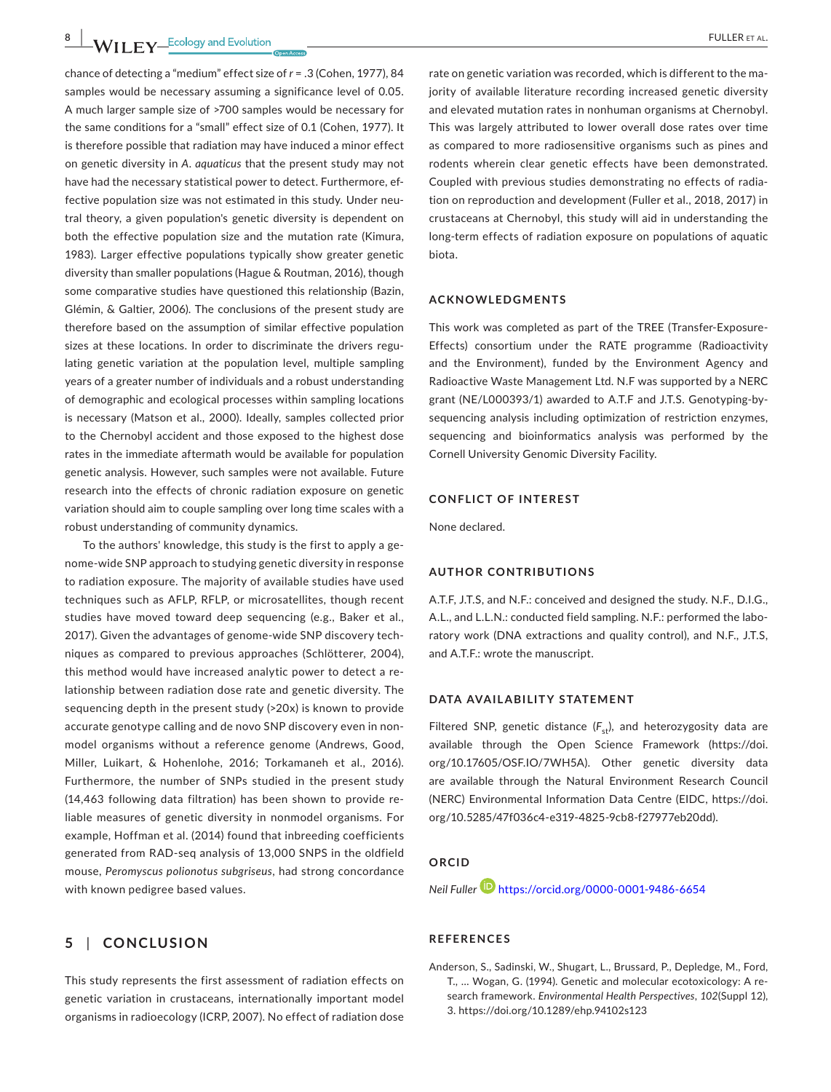chance of detecting a "medium" effect size of *r* = .3 (Cohen, 1977), 84 samples would be necessary assuming a significance level of 0.05. A much larger sample size of >700 samples would be necessary for the same conditions for a "small" effect size of 0.1 (Cohen, 1977). It is therefore possible that radiation may have induced a minor effect on genetic diversity in *A. aquaticus* that the present study may not have had the necessary statistical power to detect. Furthermore, effective population size was not estimated in this study. Under neutral theory, a given population's genetic diversity is dependent on both the effective population size and the mutation rate (Kimura, 1983). Larger effective populations typically show greater genetic diversity than smaller populations (Hague & Routman, 2016), though some comparative studies have questioned this relationship (Bazin, Glémin, & Galtier, 2006). The conclusions of the present study are therefore based on the assumption of similar effective population sizes at these locations. In order to discriminate the drivers regulating genetic variation at the population level, multiple sampling years of a greater number of individuals and a robust understanding of demographic and ecological processes within sampling locations is necessary (Matson et al., 2000). Ideally, samples collected prior to the Chernobyl accident and those exposed to the highest dose rates in the immediate aftermath would be available for population genetic analysis. However, such samples were not available. Future research into the effects of chronic radiation exposure on genetic variation should aim to couple sampling over long time scales with a robust understanding of community dynamics.

To the authors' knowledge, this study is the first to apply a genome‐wide SNP approach to studying genetic diversity in response to radiation exposure. The majority of available studies have used techniques such as AFLP, RFLP, or microsatellites, though recent studies have moved toward deep sequencing (e.g., Baker et al., 2017). Given the advantages of genome‐wide SNP discovery techniques as compared to previous approaches (Schlötterer, 2004), this method would have increased analytic power to detect a relationship between radiation dose rate and genetic diversity. The sequencing depth in the present study (>20x) is known to provide accurate genotype calling and de novo SNP discovery even in nonmodel organisms without a reference genome (Andrews, Good, Miller, Luikart, & Hohenlohe, 2016; Torkamaneh et al., 2016). Furthermore, the number of SNPs studied in the present study (14,463 following data filtration) has been shown to provide reliable measures of genetic diversity in nonmodel organisms. For example, Hoffman et al. (2014) found that inbreeding coefficients generated from RAD‐seq analysis of 13,000 SNPS in the oldfield mouse, *Peromyscus polionotus subgriseus*, had strong concordance with known pedigree based values.

# **5** | **CONCLUSION**

This study represents the first assessment of radiation effects on genetic variation in crustaceans, internationally important model organisms in radioecology (ICRP, 2007). No effect of radiation dose

rate on genetic variation was recorded, which is different to the majority of available literature recording increased genetic diversity and elevated mutation rates in nonhuman organisms at Chernobyl. This was largely attributed to lower overall dose rates over time as compared to more radiosensitive organisms such as pines and rodents wherein clear genetic effects have been demonstrated. Coupled with previous studies demonstrating no effects of radiation on reproduction and development (Fuller et al., 2018, 2017) in crustaceans at Chernobyl, this study will aid in understanding the long‐term effects of radiation exposure on populations of aquatic biota.

#### **ACKNOWLEDGMENTS**

This work was completed as part of the TREE (Transfer‐Exposure‐ Effects) consortium under the RATE programme (Radioactivity and the Environment), funded by the Environment Agency and Radioactive Waste Management Ltd. N.F was supported by a NERC grant (NE/L000393/1) awarded to A.T.F and J.T.S. Genotyping‐by‐ sequencing analysis including optimization of restriction enzymes, sequencing and bioinformatics analysis was performed by the Cornell University Genomic Diversity Facility.

## **CONFLICT OF INTEREST**

None declared.

#### **AUTHOR CONTRIBUTIONS**

A.T.F, J.T.S, and N.F.: conceived and designed the study. N.F., D.I.G., A.L., and L.L.N.: conducted field sampling. N.F.: performed the laboratory work (DNA extractions and quality control), and N.F., J.T.S, and A.T.F.: wrote the manuscript.

## **DATA AVAILABILITY STATEMENT**

Filtered SNP, genetic distance  $(F_{st})$ , and heterozygosity data are available through the Open Science Framework [\(https://doi.](https://doi.org/10.17605/OSF.IO/7WH5A) [org/10.17605/OSF.IO/7WH5A](https://doi.org/10.17605/OSF.IO/7WH5A)). Other genetic diversity data are available through the Natural Environment Research Council (NERC) Environmental Information Data Centre (EIDC, [https://doi.](https://doi.org/10.5285/47f036c4-e319-4825-9cb8-f27977eb20dd) [org/10.5285/47f036c4-e319-4825-9cb8-f27977eb20dd\)](https://doi.org/10.5285/47f036c4-e319-4825-9cb8-f27977eb20dd).

# **ORCID**

*Neil Fuller* <https://orcid.org/0000-0001-9486-6654>

#### **REFERENCES**

Anderson, S., Sadinski, W., Shugart, L., Brussard, P., Depledge, M., Ford, T., … Wogan, G. (1994). Genetic and molecular ecotoxicology: A research framework. *Environmental Health Perspectives*, *102*(Suppl 12), 3. <https://doi.org/10.1289/ehp.94102s123>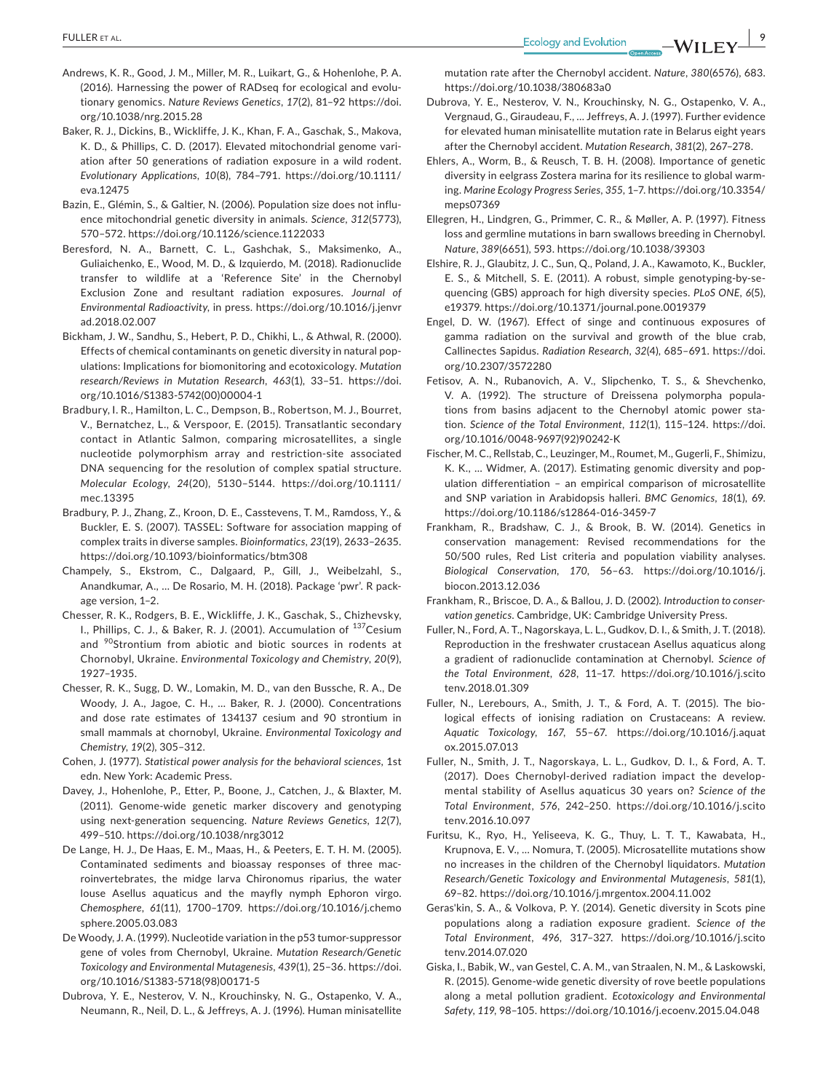- Andrews, K. R., Good, J. M., Miller, M. R., Luikart, G., & Hohenlohe, P. A. (2016). Harnessing the power of RADseq for ecological and evolutionary genomics. *Nature Reviews Genetics*, *17*(2), 81–92 [https://doi.](https://doi.org/10.1038/nrg.2015.28) [org/10.1038/nrg.2015.28](https://doi.org/10.1038/nrg.2015.28)
- Baker, R. J., Dickins, B., Wickliffe, J. K., Khan, F. A., Gaschak, S., Makova, K. D., & Phillips, C. D. (2017). Elevated mitochondrial genome variation after 50 generations of radiation exposure in a wild rodent. *Evolutionary Applications*, *10*(8), 784–791. [https://doi.org/10.1111/](https://doi.org/10.1111/eva.12475) [eva.12475](https://doi.org/10.1111/eva.12475)
- Bazin, E., Glémin, S., & Galtier, N. (2006). Population size does not influence mitochondrial genetic diversity in animals. *Science*, *312*(5773), 570–572. <https://doi.org/10.1126/science.1122033>
- Beresford, N. A., Barnett, C. L., Gashchak, S., Maksimenko, A., Guliaichenko, E., Wood, M. D., & Izquierdo, M. (2018). Radionuclide transfer to wildlife at a 'Reference Site' in the Chernobyl Exclusion Zone and resultant radiation exposures. *Journal of Environmental Radioactivity*, in press. [https://doi.org/10.1016/j.jenvr](https://doi.org/10.1016/j.jenvrad.2018.02.007) [ad.2018.02.007](https://doi.org/10.1016/j.jenvrad.2018.02.007)
- Bickham, J. W., Sandhu, S., Hebert, P. D., Chikhi, L., & Athwal, R. (2000). Effects of chemical contaminants on genetic diversity in natural populations: Implications for biomonitoring and ecotoxicology. *Mutation research/Reviews in Mutation Research*, *463*(1), 33–51. [https://doi.](https://doi.org/10.1016/S1383-5742(00)00004-1) [org/10.1016/S1383-5742\(00\)00004-1](https://doi.org/10.1016/S1383-5742(00)00004-1)
- Bradbury, I. R., Hamilton, L. C., Dempson, B., Robertson, M. J., Bourret, V., Bernatchez, L., & Verspoor, E. (2015). Transatlantic secondary contact in Atlantic Salmon, comparing microsatellites, a single nucleotide polymorphism array and restriction‐site associated DNA sequencing for the resolution of complex spatial structure. *Molecular Ecology*, *24*(20), 5130–5144. [https://doi.org/10.1111/](https://doi.org/10.1111/mec.13395) [mec.13395](https://doi.org/10.1111/mec.13395)
- Bradbury, P. J., Zhang, Z., Kroon, D. E., Casstevens, T. M., Ramdoss, Y., & Buckler, E. S. (2007). TASSEL: Software for association mapping of complex traits in diverse samples. *Bioinformatics*, *23*(19), 2633–2635. <https://doi.org/10.1093/bioinformatics/btm308>
- Champely, S., Ekstrom, C., Dalgaard, P., Gill, J., Weibelzahl, S., Anandkumar, A., … De Rosario, M. H. (2018). Package 'pwr'. R package version, 1–2.
- Chesser, R. K., Rodgers, B. E., Wickliffe, J. K., Gaschak, S., Chizhevsky, I., Phillips, C. J., & Baker, R. J. (2001). Accumulation of <sup>137</sup>Cesium and <sup>90</sup>Strontium from abiotic and biotic sources in rodents at Chornobyl, Ukraine. *Environmental Toxicology and Chemistry*, *20*(9), 1927–1935.
- Chesser, R. K., Sugg, D. W., Lomakin, M. D., van den Bussche, R. A., De Woody, J. A., Jagoe, C. H., … Baker, R. J. (2000). Concentrations and dose rate estimates of 134137 cesium and 90 strontium in small mammals at chornobyl, Ukraine. *Environmental Toxicology and Chemistry*, *19*(2), 305–312.
- Cohen, J. (1977). *Statistical power analysis for the behavioral sciences*, 1st edn. New York: Academic Press.
- Davey, J., Hohenlohe, P., Etter, P., Boone, J., Catchen, J., & Blaxter, M. (2011). Genome‐wide genetic marker discovery and genotyping using next‐generation sequencing. *Nature Reviews Genetics*, *12*(7), 499–510. <https://doi.org/10.1038/nrg3012>
- De Lange, H. J., De Haas, E. M., Maas, H., & Peeters, E. T. H. M. (2005). Contaminated sediments and bioassay responses of three macroinvertebrates, the midge larva Chironomus riparius, the water louse Asellus aquaticus and the mayfly nymph Ephoron virgo. *Chemosphere*, *61*(11), 1700–1709. [https://doi.org/10.1016/j.chemo](https://doi.org/10.1016/j.chemosphere.2005.03.083) [sphere.2005.03.083](https://doi.org/10.1016/j.chemosphere.2005.03.083)
- De Woody, J. A. (1999). Nucleotide variation in the p53 tumor-suppressor gene of voles from Chernobyl, Ukraine. *Mutation Research/Genetic Toxicology and Environmental Mutagenesis*, *439*(1), 25–36. [https://doi.](https://doi.org/10.1016/S1383-5718(98)00171-5) [org/10.1016/S1383-5718\(98\)00171-5](https://doi.org/10.1016/S1383-5718(98)00171-5)
- Dubrova, Y. E., Nesterov, V. N., Krouchinsky, N. G., Ostapenko, V. A., Neumann, R., Neil, D. L., & Jeffreys, A. J. (1996). Human minisatellite

mutation rate after the Chernobyl accident. *Nature*, *380*(6576), 683. <https://doi.org/10.1038/380683a0>

- Dubrova, Y. E., Nesterov, V. N., Krouchinsky, N. G., Ostapenko, V. A., Vergnaud, G., Giraudeau, F., … Jeffreys, A. J. (1997). Further evidence for elevated human minisatellite mutation rate in Belarus eight years after the Chernobyl accident. *Mutation Research*, *381*(2), 267–278.
- Ehlers, A., Worm, B., & Reusch, T. B. H. (2008). Importance of genetic diversity in eelgrass Zostera marina for its resilience to global warming. *Marine Ecology Progress Series*, *355*, 1–7. [https://doi.org/10.3354/](https://doi.org/10.3354/meps07369) [meps07369](https://doi.org/10.3354/meps07369)
- Ellegren, H., Lindgren, G., Primmer, C. R., & Møller, A. P. (1997). Fitness loss and germline mutations in barn swallows breeding in Chernobyl. *Nature*, *389*(6651), 593. <https://doi.org/10.1038/39303>
- Elshire, R. J., Glaubitz, J. C., Sun, Q., Poland, J. A., Kawamoto, K., Buckler, E. S., & Mitchell, S. E. (2011). A robust, simple genotyping‐by‐sequencing (GBS) approach for high diversity species. *PLoS ONE*, *6*(5), e19379. <https://doi.org/10.1371/journal.pone.0019379>
- Engel, D. W. (1967). Effect of singe and continuous exposures of gamma radiation on the survival and growth of the blue crab, Callinectes Sapidus. *Radiation Research*, *32*(4), 685–691. [https://doi.](https://doi.org/10.2307/3572280) [org/10.2307/3572280](https://doi.org/10.2307/3572280)
- Fetisov, A. N., Rubanovich, A. V., Slipchenko, T. S., & Shevchenko, V. A. (1992). The structure of Dreissena polymorpha populations from basins adjacent to the Chernobyl atomic power station. *Science of the Total Environment*, *112*(1), 115–124. [https://doi.](https://doi.org/10.1016/0048-9697(92)90242-K) [org/10.1016/0048-9697\(92\)90242-K](https://doi.org/10.1016/0048-9697(92)90242-K)
- Fischer, M. C., Rellstab, C., Leuzinger, M., Roumet, M., Gugerli, F., Shimizu, K. K., … Widmer, A. (2017). Estimating genomic diversity and population differentiation – an empirical comparison of microsatellite and SNP variation in Arabidopsis halleri. *BMC Genomics*, *18*(1), 69. <https://doi.org/10.1186/s12864-016-3459-7>
- Frankham, R., Bradshaw, C. J., & Brook, B. W. (2014). Genetics in conservation management: Revised recommendations for the 50/500 rules, Red List criteria and population viability analyses. *Biological Conservation*, *170*, 56–63. [https://doi.org/10.1016/j.](https://doi.org/10.1016/j.biocon.2013.12.036) [biocon.2013.12.036](https://doi.org/10.1016/j.biocon.2013.12.036)
- Frankham, R., Briscoe, D. A., & Ballou, J. D. (2002). *Introduction to conser‐ vation genetics*. Cambridge, UK: Cambridge University Press.
- Fuller, N., Ford, A. T., Nagorskaya, L. L., Gudkov, D. I., & Smith, J. T. (2018). Reproduction in the freshwater crustacean Asellus aquaticus along a gradient of radionuclide contamination at Chernobyl. *Science of the Total Environment*, *628*, 11–17. [https://doi.org/10.1016/j.scito](https://doi.org/10.1016/j.scitotenv.2018.01.309) [tenv.2018.01.309](https://doi.org/10.1016/j.scitotenv.2018.01.309)
- Fuller, N., Lerebours, A., Smith, J. T., & Ford, A. T. (2015). The biological effects of ionising radiation on Crustaceans: A review. *Aquatic Toxicology*, *167*, 55–67. [https://doi.org/10.1016/j.aquat](https://doi.org/10.1016/j.aquatox.2015.07.013) [ox.2015.07.013](https://doi.org/10.1016/j.aquatox.2015.07.013)
- Fuller, N., Smith, J. T., Nagorskaya, L. L., Gudkov, D. I., & Ford, A. T. (2017). Does Chernobyl‐derived radiation impact the developmental stability of Asellus aquaticus 30 years on? *Science of the Total Environment*, *576*, 242–250. [https://doi.org/10.1016/j.scito](https://doi.org/10.1016/j.scitotenv.2016.10.097) [tenv.2016.10.097](https://doi.org/10.1016/j.scitotenv.2016.10.097)
- Furitsu, K., Ryo, H., Yeliseeva, K. G., Thuy, L. T. T., Kawabata, H., Krupnova, E. V., … Nomura, T. (2005). Microsatellite mutations show no increases in the children of the Chernobyl liquidators. *Mutation Research/Genetic Toxicology and Environmental Mutagenesis*, *581*(1), 69–82. <https://doi.org/10.1016/j.mrgentox.2004.11.002>
- Geras'kin, S. A., & Volkova, P. Y. (2014). Genetic diversity in Scots pine populations along a radiation exposure gradient. *Science of the Total Environment*, *496*, 317–327. [https://doi.org/10.1016/j.scito](https://doi.org/10.1016/j.scitotenv.2014.07.020) [tenv.2014.07.020](https://doi.org/10.1016/j.scitotenv.2014.07.020)
- Giska, I., Babik, W., van Gestel, C. A. M., van Straalen, N. M., & Laskowski, R. (2015). Genome‐wide genetic diversity of rove beetle populations along a metal pollution gradient. *Ecotoxicology and Environmental Safety*, *119*, 98–105. <https://doi.org/10.1016/j.ecoenv.2015.04.048>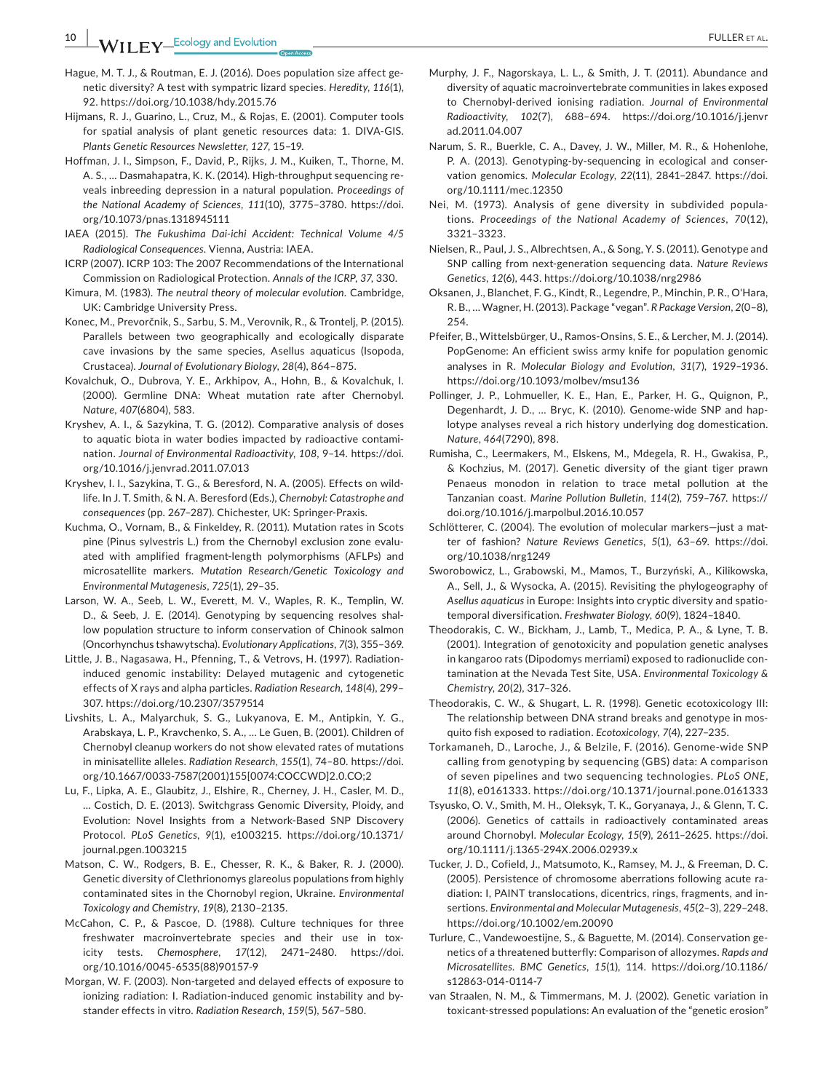- Hague, M. T. J., & Routman, E. J. (2016). Does population size affect genetic diversity? A test with sympatric lizard species. *Heredity*, *116*(1), 92. <https://doi.org/10.1038/hdy.2015.76>
- Hijmans, R. J., Guarino, L., Cruz, M., & Rojas, E. (2001). Computer tools for spatial analysis of plant genetic resources data: 1. DIVA‐GIS. *Plants Genetic Resources Newsletter*, *127*, 15–19.
- Hoffman, J. I., Simpson, F., David, P., Rijks, J. M., Kuiken, T., Thorne, M. A. S., … Dasmahapatra, K. K. (2014). High‐throughput sequencing reveals inbreeding depression in a natural population. *Proceedings of the National Academy of Sciences*, *111*(10), 3775–3780. [https://doi.](https://doi.org/10.1073/pnas.1318945111) [org/10.1073/pnas.1318945111](https://doi.org/10.1073/pnas.1318945111)
- IAEA (2015). *The Fukushima Dai‐ichi Accident: Technical Volume 4/5 Radiological Consequences*. Vienna, Austria: IAEA.
- ICRP (2007). ICRP 103: The 2007 Recommendations of the International Commission on Radiological Protection. *Annals of the ICRP*, *37*, 330.
- Kimura, M. (1983). *The neutral theory of molecular evolution*. Cambridge, UK: Cambridge University Press.
- Konec, M., Prevorčnik, S., Sarbu, S. M., Verovnik, R., & Trontelj, P. (2015). Parallels between two geographically and ecologically disparate cave invasions by the same species, Asellus aquaticus (Isopoda, Crustacea). *Journal of Evolutionary Biology*, *28*(4), 864–875.
- Kovalchuk, O., Dubrova, Y. E., Arkhipov, A., Hohn, B., & Kovalchuk, I. (2000). Germline DNA: Wheat mutation rate after Chernobyl. *Nature*, *407*(6804), 583.
- Kryshev, A. I., & Sazykina, T. G. (2012). Comparative analysis of doses to aquatic biota in water bodies impacted by radioactive contamination. *Journal of Environmental Radioactivity*, *108*, 9–14. [https://doi.](https://doi.org/10.1016/j.jenvrad.2011.07.013) [org/10.1016/j.jenvrad.2011.07.013](https://doi.org/10.1016/j.jenvrad.2011.07.013)
- Kryshev, I. I., Sazykina, T. G., & Beresford, N. A. (2005). Effects on wildlife. In J. T. Smith, & N. A. Beresford (Eds.), *Chernobyl: Catastrophe and consequences* (pp. 267–287). Chichester, UK: Springer‐Praxis.
- Kuchma, O., Vornam, B., & Finkeldey, R. (2011). Mutation rates in Scots pine (Pinus sylvestris L.) from the Chernobyl exclusion zone evaluated with amplified fragment‐length polymorphisms (AFLPs) and microsatellite markers. *Mutation Research/Genetic Toxicology and Environmental Mutagenesis*, *725*(1), 29–35.
- Larson, W. A., Seeb, L. W., Everett, M. V., Waples, R. K., Templin, W. D., & Seeb, J. E. (2014). Genotyping by sequencing resolves shallow population structure to inform conservation of Chinook salmon (Oncorhynchus tshawytscha). *Evolutionary Applications*, *7*(3), 355–369.
- Little, J. B., Nagasawa, H., Pfenning, T., & Vetrovs, H. (1997). Radiation‐ induced genomic instability: Delayed mutagenic and cytogenetic effects of X rays and alpha particles. *Radiation Research*, *148*(4), 299– 307. <https://doi.org/10.2307/3579514>
- Livshits, L. A., Malyarchuk, S. G., Lukyanova, E. M., Antipkin, Y. G., Arabskaya, L. P., Kravchenko, S. A., … Le Guen, B. (2001). Children of Chernobyl cleanup workers do not show elevated rates of mutations in minisatellite alleles. *Radiation Research*, *155*(1), 74–80. [https://doi.](https://doi.org/10.1667/0033-7587(2001)155%5B0074:COCCWD%5D2.0.CO;2) [org/10.1667/0033-7587\(2001\)155\[0074:COCCWD\]2.0.CO;2](https://doi.org/10.1667/0033-7587(2001)155%5B0074:COCCWD%5D2.0.CO;2)
- Lu, F., Lipka, A. E., Glaubitz, J., Elshire, R., Cherney, J. H., Casler, M. D., … Costich, D. E. (2013). Switchgrass Genomic Diversity, Ploidy, and Evolution: Novel Insights from a Network‐Based SNP Discovery Protocol. *PLoS Genetics*, *9*(1), e1003215. [https://doi.org/10.1371/](https://doi.org/10.1371/journal.pgen.1003215) [journal.pgen.1003215](https://doi.org/10.1371/journal.pgen.1003215)
- Matson, C. W., Rodgers, B. E., Chesser, R. K., & Baker, R. J. (2000). Genetic diversity of Clethrionomys glareolus populations from highly contaminated sites in the Chornobyl region, Ukraine. *Environmental Toxicology and Chemistry*, *19*(8), 2130–2135.
- McCahon, C. P., & Pascoe, D. (1988). Culture techniques for three freshwater macroinvertebrate species and their use in toxicity tests. *Chemosphere*, *17*(12), 2471–2480. [https://doi.](https://doi.org/10.1016/0045-6535(88)90157-9) [org/10.1016/0045-6535\(88\)90157-9](https://doi.org/10.1016/0045-6535(88)90157-9)
- Morgan, W. F. (2003). Non‐targeted and delayed effects of exposure to ionizing radiation: I. Radiation-induced genomic instability and bystander effects in vitro. *Radiation Research*, *159*(5), 567–580.
- Murphy, J. F., Nagorskaya, L. L., & Smith, J. T. (2011). Abundance and diversity of aquatic macroinvertebrate communities in lakes exposed to Chernobyl‐derived ionising radiation. *Journal of Environmental Radioactivity*, *102*(7), 688–694. [https://doi.org/10.1016/j.jenvr](https://doi.org/10.1016/j.jenvrad.2011.04.007) [ad.2011.04.007](https://doi.org/10.1016/j.jenvrad.2011.04.007)
- Narum, S. R., Buerkle, C. A., Davey, J. W., Miller, M. R., & Hohenlohe, P. A. (2013). Genotyping‐by‐sequencing in ecological and conservation genomics. *Molecular Ecology*, *22*(11), 2841–2847. [https://doi.](https://doi.org/10.1111/mec.12350) [org/10.1111/mec.12350](https://doi.org/10.1111/mec.12350)
- Nei, M. (1973). Analysis of gene diversity in subdivided populations. *Proceedings of the National Academy of Sciences*, *70*(12), 3321–3323.
- Nielsen, R., Paul, J. S., Albrechtsen, A., & Song, Y. S. (2011). Genotype and SNP calling from next‐generation sequencing data. *Nature Reviews Genetics*, *12*(6), 443. <https://doi.org/10.1038/nrg2986>
- Oksanen, J., Blanchet, F. G., Kindt, R., Legendre, P., Minchin, P. R., O'Hara, R. B., … Wagner, H. (2013). Package "vegan". *R Package Version*, *2*(0–8), 254.
- Pfeifer, B., Wittelsbürger, U., Ramos‐Onsins, S. E., & Lercher, M. J. (2014). PopGenome: An efficient swiss army knife for population genomic analyses in R. *Molecular Biology and Evolution*, *31*(7), 1929–1936. <https://doi.org/10.1093/molbev/msu136>
- Pollinger, J. P., Lohmueller, K. E., Han, E., Parker, H. G., Quignon, P., Degenhardt, J. D., … Bryc, K. (2010). Genome‐wide SNP and haplotype analyses reveal a rich history underlying dog domestication. *Nature*, *464*(7290), 898.
- Rumisha, C., Leermakers, M., Elskens, M., Mdegela, R. H., Gwakisa, P., & Kochzius, M. (2017). Genetic diversity of the giant tiger prawn Penaeus monodon in relation to trace metal pollution at the Tanzanian coast. *Marine Pollution Bulletin*, *114*(2), 759–767. [https://](https://doi.org/10.1016/j.marpolbul.2016.10.057) [doi.org/10.1016/j.marpolbul.2016.10.057](https://doi.org/10.1016/j.marpolbul.2016.10.057)
- Schlötterer, C. (2004). The evolution of molecular markers—just a matter of fashion? *Nature Reviews Genetics*, *5*(1), 63–69. [https://doi.](https://doi.org/10.1038/nrg1249) [org/10.1038/nrg1249](https://doi.org/10.1038/nrg1249)
- Sworobowicz, L., Grabowski, M., Mamos, T., Burzyński, A., Kilikowska, A., Sell, J., & Wysocka, A. (2015). Revisiting the phylogeography of *Asellus aquaticus* in Europe: Insights into cryptic diversity and spatiotemporal diversification. *Freshwater Biology*, *60*(9), 1824–1840.
- Theodorakis, C. W., Bickham, J., Lamb, T., Medica, P. A., & Lyne, T. B. (2001). Integration of genotoxicity and population genetic analyses in kangaroo rats (Dipodomys merriami) exposed to radionuclide contamination at the Nevada Test Site, USA. *Environmental Toxicology & Chemistry*, *20*(2), 317–326.
- Theodorakis, C. W., & Shugart, L. R. (1998). Genetic ecotoxicology III: The relationship between DNA strand breaks and genotype in mosquito fish exposed to radiation. *Ecotoxicology*, *7*(4), 227–235.
- Torkamaneh, D., Laroche, J., & Belzile, F. (2016). Genome‐wide SNP calling from genotyping by sequencing (GBS) data: A comparison of seven pipelines and two sequencing technologies. *PLoS ONE*, *11*(8), e0161333. <https://doi.org/10.1371/journal.pone.0161333>
- Tsyusko, O. V., Smith, M. H., Oleksyk, T. K., Goryanaya, J., & Glenn, T. C. (2006). Genetics of cattails in radioactively contaminated areas around Chornobyl. *Molecular Ecology*, *15*(9), 2611–2625. [https://doi.](https://doi.org/10.1111/j.1365-294X.2006.02939.x) [org/10.1111/j.1365-294X.2006.02939.x](https://doi.org/10.1111/j.1365-294X.2006.02939.x)
- Tucker, J. D., Cofield, J., Matsumoto, K., Ramsey, M. J., & Freeman, D. C. (2005). Persistence of chromosome aberrations following acute radiation: I, PAINT translocations, dicentrics, rings, fragments, and insertions. *Environmental and Molecular Mutagenesis*, *45*(2–3), 229–248. <https://doi.org/10.1002/em.20090>
- Turlure, C., Vandewoestijne, S., & Baguette, M. (2014). Conservation genetics of a threatened butterfly: Comparison of allozymes. *Rapds and Microsatellites. BMC Genetics*, *15*(1), 114. [https://doi.org/10.1186/](https://doi.org/10.1186/s12863-014-0114-7) [s12863-014-0114-7](https://doi.org/10.1186/s12863-014-0114-7)
- van Straalen, N. M., & Timmermans, M. J. (2002). Genetic variation in toxicant-stressed populations: An evaluation of the "genetic erosion"